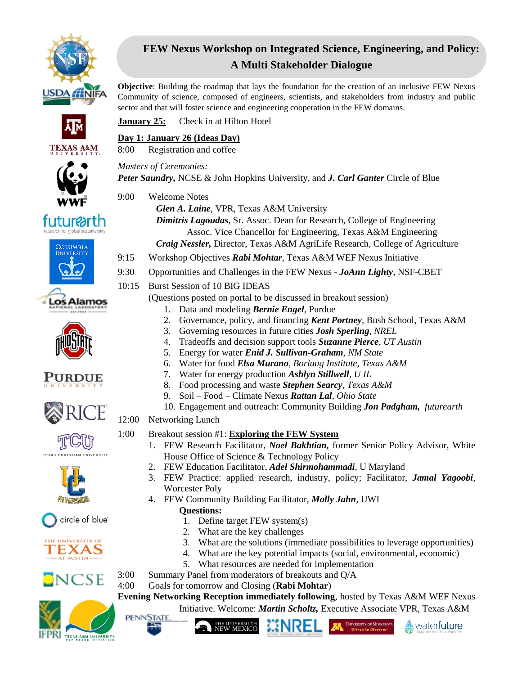

**TEXAS A&M** 

*futurearth* 

**COLUMBIA** 

os Alamos.

# **FEW Nexus Workshop on Integrated Science, Engineering, and Policy: A Multi Stakeholder Dialogue**

**Objective**: Building the roadmap that lays the foundation for the creation of an inclusive FEW Nexus Community of science, composed of engineers, scientists, and stakeholders from industry and public sector and that will foster science and engineering cooperation in the FEW domains.

**January 25:** Check in at Hilton Hotel

#### **Day 1: January 26 (Ideas Day)**

8:00 Registration and coffee

*Masters of Ceremonies:* 

*Peter Saundry,* NCSE & John Hopkins University, and *J. Carl Ganter* Circle of Blue

- 9:00 Welcome Notes
	- *Glen A. Laine*, VPR, Texas A&M University

*Dimitris Lagoudas*, Sr. Assoc. Dean for Research, College of Engineering Assoc. Vice Chancellor for Engineering, Texas A&M Engineering *Craig Nessler,* Director, Texas A&M AgriLife Research, College of Agriculture

- 9:15 Workshop Objectives *Rabi Mohtar*, Texas A&M WEF Nexus Initiative
- 9:30 Opportunities and Challenges in the FEW Nexus *JoAnn Lighty*, NSF-CBET
- 10:15 Burst Session of 10 BIG IDEAS

(Questions posted on portal to be discussed in breakout session)

- 1. Data and modeling *Bernie Engel,* Purdue
- 2. Governance, policy, and financing *Kent Portney,* Bush School, Texas A&M
- 3. Governing resources in future cities *Josh Sperling, NREL*
- 4. Tradeoffs and decision support tools *Suzanne Pierce, UT Austin*
- 5. Energy for water *Enid J. Sullivan-Graham, NM State*
- 6. Water for food *Elsa Murano*, *Borlaug Institute, Texas A&M*
	- 7. Water for energy production *Ashlyn Stillwell, U IL*
- 8. Food processing and waste *Stephen Searcy, Texas A&M*
- 9. Soil Food Climate Nexus *Rattan Lal, Ohio State*
- 10. Engagement and outreach: Community Building *Jon Padgham, futurearth*

12:00 Networking Lunch

#### 1:00 Breakout session #1: **Exploring the FEW System**

- 1. FEW Research Facilitator, *Noel Bakhtian,* former Senior Policy Advisor, White House Office of Science & Technology Policy
- 2. FEW Education Facilitator, *Adel Shirmohammadi,* U Maryland
- 3. FEW Practice: applied research, industry, policy; Facilitator, *Jamal Yagoobi*, Worcester Poly
- 4. FEW Community Building Facilitator, *Molly Jahn*, UWI **Questions:**
	- 1. Define target FEW system(s)
	- 2. What are the key challenges
	- 3. What are the solutions (immediate possibilities to leverage opportunities)

UNIVERSITY OF MINNESOTA

- 4. What are the key potential impacts (social, environmental, economic)
- 5. What resources are needed for implementation
- 3:00 Summary Panel from moderators of breakouts and Q/A
- 4:00 Goals for tomorrow and Closing (**Rabi Mohtar**)

**Evening Networking Reception immediately following**, hosted by Texas A&M WEF Nexus Initiative. Welcome: *Martin Scholtz,* Executive Associate VPR, Texas A&M



**NCSE** 

**PENNSTATE** 





water**future** 



PURDUE







circle of blue<sup>®</sup>

THE UNIVERSITY OF **TEXAS**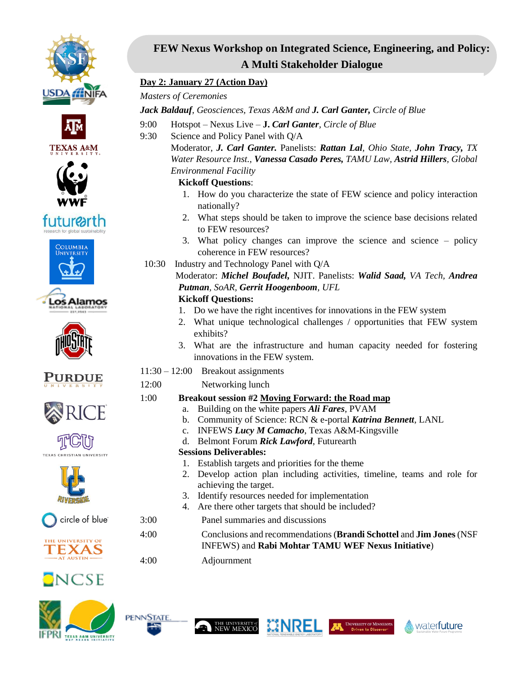

















circle of blue<sup>®</sup>







## **FEW Nexus Workshop on Integrated Science, Engineering, and Policy: A Multi Stakeholder Dialogue**

#### **Day 2: January 27 (Action Day)**

#### *Masters of Ceremonies*

*Jack Baldauf, Geosciences, Texas A&M and J. Carl Ganter, Circle of Blue*

- 9:00 Hotspot Nexus Live **J.** *Carl Ganter, Circle of Blue*
- 9:30 Science and Policy Panel with Q/A

Moderator, *J. Carl Ganter.* Panelists: *Rattan Lal, Ohio State, John Tracy, TX Water Resource Inst., Vanessa Casado Peres, TAMU Law, Astrid Hillers, Global Environmenal Facility*

#### **Kickoff Questions**:

- 1. How do you characterize the state of FEW science and policy interaction nationally?
- 2. What steps should be taken to improve the science base decisions related to FEW resources?
- 3. What policy changes can improve the science and science policy coherence in FEW resources?
- 10:30 Industry and Technology Panel with Q/A

 Moderator: *Michel Boufadel,* NJIT. Panelists: *Walid Saad, VA Tech, Andrea Putman, SoAR, Gerrit Hoogenboom, UFL*

#### **Kickoff Questions:**

- 1. Do we have the right incentives for innovations in the FEW system
- 2. What unique technological challenges / opportunities that FEW system exhibits?
- 3. What are the infrastructure and human capacity needed for fostering innovations in the FEW system.
- 11:30 12:00 Breakout assignments
- 12:00 Networking lunch

## 1:00 **Breakout session #2 Moving Forward: the Road map**

- a. Building on the white papers *Ali Fares*, PVAM
- b. Community of Science: RCN & e-portal *Katrina Bennett*, LANL
- c. INFEWS *Lucy M Camacho*, Texas A&M-Kingsville
- d. Belmont Forum *Rick Lawford*, Futurearth

## **Sessions Deliverables:**

- 1. Establish targets and priorities for the theme
- 2. Develop action plan including activities, timeline, teams and role for achieving the target.
- 3. Identify resources needed for implementation
- 4. Are there other targets that should be included?
- 3:00 Panel summaries and discussions
- 4:00 Conclusions and recommendations (**Brandi Schottel** and **Jim Jones**(NSF INFEWS) and **Rabi Mohtar TAMU WEF Nexus Initiative**)
- 4:00 Adjournment